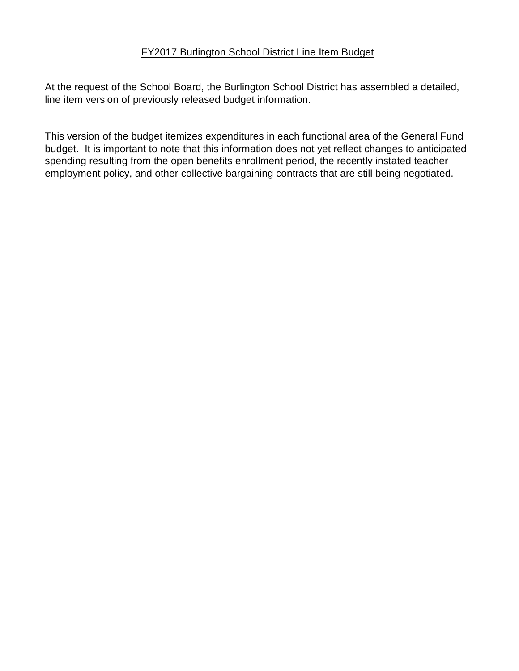## FY2017 Burlington School District Line Item Budget

At the request of the School Board, the Burlington School District has assembled a detailed, line item version of previously released budget information.

This version of the budget itemizes expenditures in each functional area of the General Fund budget. It is important to note that this information does not yet reflect changes to anticipated spending resulting from the open benefits enrollment period, the recently instated teacher employment policy, and other collective bargaining contracts that are still being negotiated.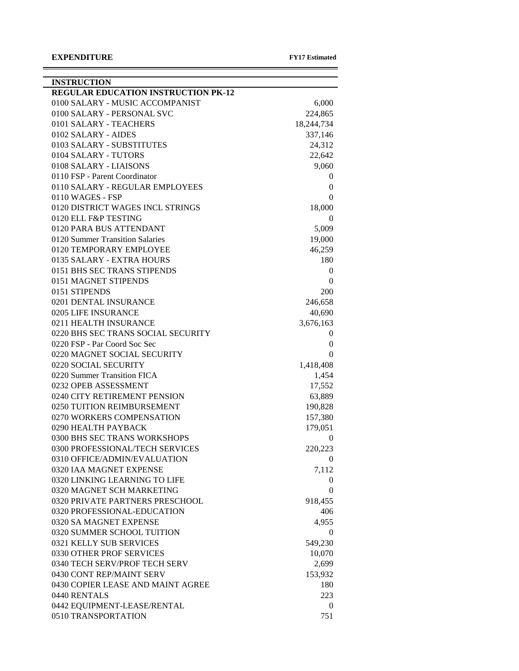$\blacksquare$ 

| <b>INSTRUCTION</b>                                        |            |
|-----------------------------------------------------------|------------|
| <b>REGULAR EDUCATION INSTRUCTION PK-12</b>                |            |
| 0100 SALARY - MUSIC ACCOMPANIST                           | 6,000      |
| 0100 SALARY - PERSONAL SVC                                | 224,865    |
| 0101 SALARY - TEACHERS                                    | 18,244,734 |
| 0102 SALARY - AIDES                                       | 337,146    |
| 0103 SALARY - SUBSTITUTES                                 | 24,312     |
| 0104 SALARY - TUTORS                                      | 22,642     |
| 0108 SALARY - LIAISONS                                    | 9,060      |
| 0110 FSP - Parent Coordinator                             | $\theta$   |
| 0110 SALARY - REGULAR EMPLOYEES                           | 0          |
| 0110 WAGES - FSP                                          | $\Omega$   |
| 0120 DISTRICT WAGES INCL STRINGS                          | 18,000     |
| 0120 ELL F&P TESTING                                      | 0          |
| 0120 PARA BUS ATTENDANT                                   | 5,009      |
| 0120 Summer Transition Salaries                           | 19,000     |
| 0120 TEMPORARY EMPLOYEE                                   | 46,259     |
| 0135 SALARY - EXTRA HOURS                                 | 180        |
| 0151 BHS SEC TRANS STIPENDS                               | 0          |
| 0151 MAGNET STIPENDS                                      | $\Omega$   |
| 0151 STIPENDS                                             | 200        |
| 0201 DENTAL INSURANCE                                     | 246,658    |
| 0205 LIFE INSURANCE                                       | 40,690     |
| 0211 HEALTH INSURANCE                                     | 3,676,163  |
| 0220 BHS SEC TRANS SOCIAL SECURITY                        | $\theta$   |
| 0220 FSP - Par Coord Soc Sec                              | 0          |
| 0220 MAGNET SOCIAL SECURITY                               | $\Omega$   |
| 0220 SOCIAL SECURITY                                      | 1,418,408  |
| 0220 Summer Transition FICA                               | 1,454      |
| 0232 OPEB ASSESSMENT                                      | 17,552     |
| 0240 CITY RETIREMENT PENSION                              | 63,889     |
| 0250 TUITION REIMBURSEMENT                                | 190,828    |
| 0270 WORKERS COMPENSATION                                 | 157,380    |
| 0290 HEALTH PAYBACK                                       | 179,051    |
| 0300 BHS SEC TRANS WORKSHOPS                              | 0          |
| 0300 PROFESSIONAL/TECH SERVICES                           | 220,223    |
| 0310 OFFICE/ADMIN/EVALUATION                              | 0          |
| 0320 JAA MAGNET EXPENSE                                   | 7,112      |
| 0320 LINKING LEARNING TO LIFE                             | $\theta$   |
| 0320 MAGNET SCH MARKETING                                 | $\Omega$   |
| 0320 PRIVATE PARTNERS PRESCHOOL                           | 918,455    |
| 0320 PROFESSIONAL-EDUCATION                               | 406        |
| 0320 SA MAGNET EXPENSE                                    | 4,955      |
| 0320 SUMMER SCHOOL TUITION                                | $\theta$   |
| 0321 KELLY SUB SERVICES                                   |            |
| 0330 OTHER PROF SERVICES                                  | 549,230    |
|                                                           | 10,070     |
| 0340 TECH SERV/PROF TECH SERV<br>0430 CONT REP/MAINT SERV | 2,699      |
|                                                           | 153,932    |
| 0430 COPIER LEASE AND MAINT AGREE                         | 180        |
| 0440 RENTALS                                              | 223        |
| 0442 EQUIPMENT-LEASE/RENTAL                               | 0          |
| 0510 TRANSPORTATION                                       | 751        |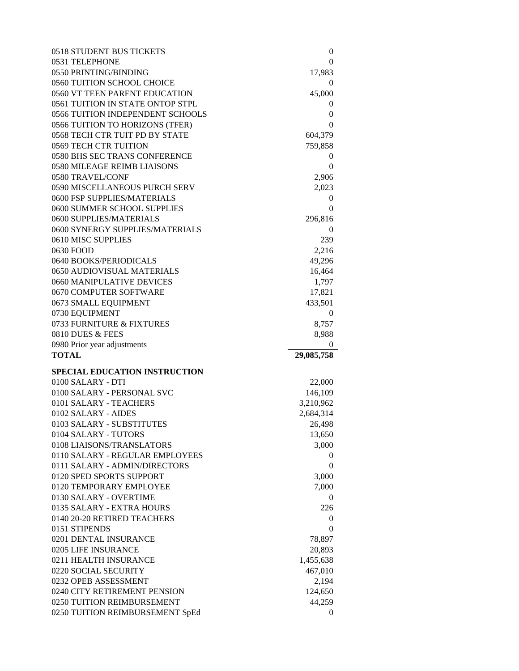| 0518 STUDENT BUS TICKETS                                      | $\boldsymbol{0}$         |
|---------------------------------------------------------------|--------------------------|
| 0531 TELEPHONE                                                | 0                        |
| 0550 PRINTING/BINDING                                         | 17,983                   |
| 0560 TUITION SCHOOL CHOICE                                    | $\Omega$                 |
| 0560 VT TEEN PARENT EDUCATION                                 | 45,000                   |
| 0561 TUITION IN STATE ONTOP STPL                              | 0                        |
| 0566 TUITION INDEPENDENT SCHOOLS                              | 0                        |
| 0566 TUITION TO HORIZONS (TFER)                               | $\theta$                 |
| 0568 TECH CTR TUIT PD BY STATE                                | 604,379                  |
| 0569 TECH CTR TUITION                                         | 759,858                  |
| 0580 BHS SEC TRANS CONFERENCE                                 | 0                        |
| 0580 MILEAGE REIMB LIAISONS                                   | 0                        |
| 0580 TRAVEL/CONF                                              | 2,906                    |
| 0590 MISCELLANEOUS PURCH SERV                                 | 2,023                    |
| 0600 FSP SUPPLIES/MATERIALS                                   | $\theta$                 |
| 0600 SUMMER SCHOOL SUPPLIES                                   | 0                        |
| 0600 SUPPLIES/MATERIALS                                       | 296,816                  |
| 0600 SYNERGY SUPPLIES/MATERIALS                               | 0                        |
| 0610 MISC SUPPLIES                                            | 239                      |
| 0630 FOOD                                                     | 2,216                    |
| 0640 BOOKS/PERIODICALS                                        | 49,296                   |
| 0650 AUDIOVISUAL MATERIALS                                    | 16,464                   |
| 0660 MANIPULATIVE DEVICES                                     | 1,797                    |
| 0670 COMPUTER SOFTWARE                                        | 17,821                   |
| 0673 SMALL EQUIPMENT                                          | 433,501                  |
| 0730 EQUIPMENT                                                | $\theta$                 |
| 0733 FURNITURE & FIXTURES                                     | 8,757                    |
| 0810 DUES & FEES                                              | 8,988                    |
|                                                               |                          |
| 0980 Prior year adjustments                                   | 0                        |
| <b>TOTAL</b>                                                  | 29,085,758               |
|                                                               |                          |
| SPECIAL EDUCATION INSTRUCTION                                 |                          |
| 0100 SALARY - DTI                                             | 22,000                   |
| 0100 SALARY - PERSONAL SVC                                    | 146,109                  |
| 0101 SALARY - TEACHERS                                        | 3,210,962                |
| 0102 SALARY - AIDES                                           | 2,684,314                |
| 0103 SALARY - SUBSTITUTES                                     | 26,498                   |
| 0104 SALARY - TUTORS                                          | 13,650                   |
| 0108 LIAISONS/TRANSLATORS                                     | 3,000                    |
| 0110 SALARY - REGULAR EMPLOYEES                               | $\boldsymbol{0}$         |
| 0111 SALARY - ADMIN/DIRECTORS                                 | 0                        |
| 0120 SPED SPORTS SUPPORT                                      | 3,000                    |
| 0120 TEMPORARY EMPLOYEE                                       | 7,000                    |
| 0130 SALARY - OVERTIME                                        | $\overline{0}$           |
| 0135 SALARY - EXTRA HOURS                                     | 226                      |
| 0140 20-20 RETIRED TEACHERS                                   | 0                        |
| 0151 STIPENDS                                                 | 0                        |
| 0201 DENTAL INSURANCE                                         | 78,897                   |
| 0205 LIFE INSURANCE                                           | 20,893                   |
| 0211 HEALTH INSURANCE                                         | 1,455,638                |
| 0220 SOCIAL SECURITY                                          | 467,010                  |
| 0232 OPEB ASSESSMENT                                          | 2,194                    |
| 0240 CITY RETIREMENT PENSION                                  | 124,650                  |
| 0250 TUITION REIMBURSEMENT<br>0250 TUITION REIMBURSEMENT SpEd | 44,259<br>$\overline{0}$ |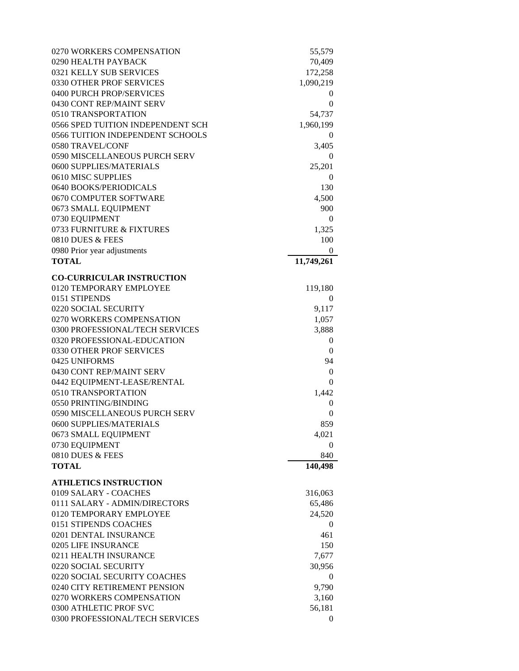| 0270 WORKERS COMPENSATION         | 55,579           |
|-----------------------------------|------------------|
| 0290 HEALTH PAYBACK               | 70,409           |
| 0321 KELLY SUB SERVICES           | 172,258          |
| 0330 OTHER PROF SERVICES          | 1,090,219        |
| 0400 PURCH PROP/SERVICES          | $\theta$         |
| 0430 CONT REP/MAINT SERV          | 0                |
| 0510 TRANSPORTATION               | 54,737           |
| 0566 SPED TUITION INDEPENDENT SCH | 1,960,199        |
| 0566 TUITION INDEPENDENT SCHOOLS  | 0                |
| 0580 TRAVEL/CONF                  | 3,405            |
| 0590 MISCELLANEOUS PURCH SERV     | 0                |
| 0600 SUPPLIES/MATERIALS           | 25,201           |
| 0610 MISC SUPPLIES                | 0                |
| 0640 BOOKS/PERIODICALS            | 130              |
| 0670 COMPUTER SOFTWARE            | 4,500            |
| 0673 SMALL EQUIPMENT              | 900              |
| 0730 EQUIPMENT                    | 0                |
| 0733 FURNITURE & FIXTURES         | 1,325            |
| 0810 DUES & FEES                  | 100              |
| 0980 Prior year adjustments       | 0                |
| <b>TOTAL</b>                      | 11,749,261       |
| <b>CO-CURRICULAR INSTRUCTION</b>  |                  |
| 0120 TEMPORARY EMPLOYEE           | 119,180          |
| 0151 STIPENDS                     | 0                |
| 0220 SOCIAL SECURITY              | 9,117            |
| 0270 WORKERS COMPENSATION         | 1,057            |
| 0300 PROFESSIONAL/TECH SERVICES   | 3,888            |
| 0320 PROFESSIONAL-EDUCATION       | $\boldsymbol{0}$ |
| 0330 OTHER PROF SERVICES          | $\theta$         |
| 0425 UNIFORMS                     | 94               |
| 0430 CONT REP/MAINT SERV          | $\theta$         |
| 0442 EQUIPMENT-LEASE/RENTAL       | 0                |
| 0510 TRANSPORTATION               | 1,442            |
| 0550 PRINTING/BINDING             | 0                |
| 0590 MISCELLANEOUS PURCH SERV     | 0                |
| 0600 SUPPLIES/MATERIALS           | 859              |
| 0673 SMALL EQUIPMENT              | 4,021            |
| 0730 EQUIPMENT                    | 0                |
| 0810 DUES & FEES                  | 840              |
| <b>TOTAL</b>                      | 140,498          |
|                                   |                  |
| <b>ATHLETICS INSTRUCTION</b>      |                  |
| 0109 SALARY - COACHES             | 316,063          |
| 0111 SALARY - ADMIN/DIRECTORS     | 65,486           |
| 0120 TEMPORARY EMPLOYEE           | 24,520           |
| 0151 STIPENDS COACHES             | 0                |
| 0201 DENTAL INSURANCE             | 461              |
| 0205 LIFE INSURANCE               | 150              |
| 0211 HEALTH INSURANCE             | 7,677            |
| 0220 SOCIAL SECURITY              | 30,956           |
| 0220 SOCIAL SECURITY COACHES      | O                |
| 0240 CITY RETIREMENT PENSION      | 9,790            |
| 0270 WORKERS COMPENSATION         | 3,160            |
| 0300 ATHLETIC PROF SVC            | 56,181           |
| 0300 PROFESSIONAL/TECH SERVICES   | 0                |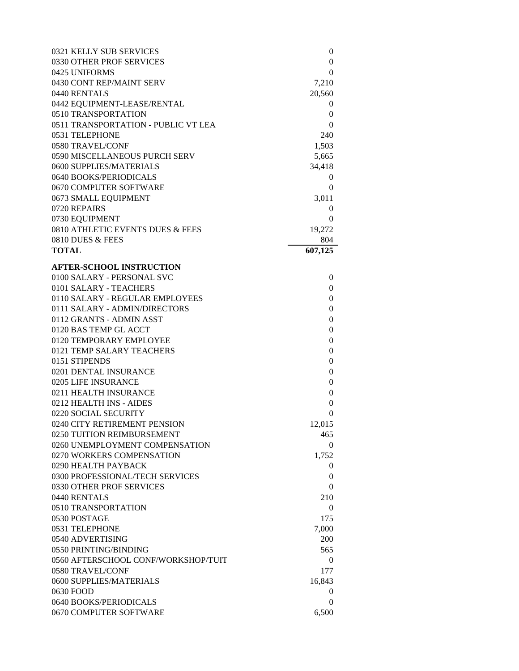| 0321 KELLY SUB SERVICES             | $\boldsymbol{0}$ |
|-------------------------------------|------------------|
| 0330 OTHER PROF SERVICES            | $\overline{0}$   |
| 0425 UNIFORMS                       | 0                |
| 0430 CONT REP/MAINT SERV            | 7,210            |
| 0440 RENTALS                        | 20,560           |
| 0442 EQUIPMENT-LEASE/RENTAL         | 0                |
| 0510 TRANSPORTATION                 | 0                |
| 0511 TRANSPORTATION - PUBLIC VT LEA | 0                |
| 0531 TELEPHONE                      | 240              |
| 0580 TRAVEL/CONF                    | 1,503            |
| 0590 MISCELLANEOUS PURCH SERV       | 5,665            |
| 0600 SUPPLIES/MATERIALS             | 34,418           |
| 0640 BOOKS/PERIODICALS              | $\overline{0}$   |
| 0670 COMPUTER SOFTWARE              | 0                |
| 0673 SMALL EQUIPMENT                | 3,011            |
| 0720 REPAIRS                        | 0                |
| 0730 EQUIPMENT                      | 0                |
| 0810 ATHLETIC EVENTS DUES & FEES    | 19,272           |
| 0810 DUES & FEES                    | 804              |
| <b>TOTAL</b>                        | 607,125          |
| <b>AFTER-SCHOOL INSTRUCTION</b>     |                  |
| 0100 SALARY - PERSONAL SVC          | 0                |
| 0101 SALARY - TEACHERS              | $\overline{0}$   |
| 0110 SALARY - REGULAR EMPLOYEES     | $\overline{0}$   |
| 0111 SALARY - ADMIN/DIRECTORS       | $\overline{0}$   |
| 0112 GRANTS - ADMIN ASST            | $\overline{0}$   |
| 0120 BAS TEMP GL ACCT               | $\overline{0}$   |
| 0120 TEMPORARY EMPLOYEE             | $\overline{0}$   |
| 0121 TEMP SALARY TEACHERS           | $\overline{0}$   |
| 0151 STIPENDS                       | $\overline{0}$   |
| 0201 DENTAL INSURANCE               | $\overline{0}$   |
| 0205 LIFE INSURANCE                 | $\overline{0}$   |
| 0211 HEALTH INSURANCE               | 0                |
| 0212 HEALTH INS - AIDES             | 0                |
| 0220 SOCIAL SECURITY                | $^{(1)}$         |
| 0240 CITY RETIREMENT PENSION        | 12,015           |
| 0250 TUITION REIMBURSEMENT          | 465              |
| 0260 UNEMPLOYMENT COMPENSATION      | $\Omega$         |
| 0270 WORKERS COMPENSATION           | 1,752            |
| 0290 HEALTH PAYBACK                 | 0                |
| 0300 PROFESSIONAL/TECH SERVICES     | 0                |
| 0330 OTHER PROF SERVICES            | 0                |
| 0440 RENTALS                        | 210              |
| 0510 TRANSPORTATION                 | 0                |
| 0530 POSTAGE                        | 175              |
| 0531 TELEPHONE                      | 7,000            |
| 0540 ADVERTISING                    | 200              |
| 0550 PRINTING/BINDING               | 565              |
| 0560 AFTERSCHOOL CONF/WORKSHOP/TUIT | 0                |
| 0580 TRAVEL/CONF                    | 177              |
| 0600 SUPPLIES/MATERIALS             | 16,843           |
| 0630 FOOD                           | 0                |
| 0640 BOOKS/PERIODICALS              | $^{(1)}$         |
| 0670 COMPUTER SOFTWARE              | 6,500            |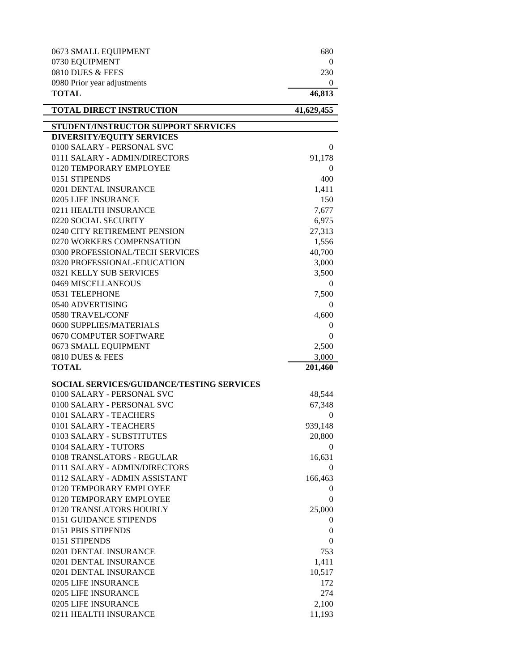| 0673 SMALL EQUIPMENT                             | 680              |
|--------------------------------------------------|------------------|
| 0730 EQUIPMENT                                   | $\theta$         |
| 0810 DUES & FEES                                 | 230              |
| 0980 Prior year adjustments                      | $\overline{0}$   |
| <b>TOTAL</b>                                     | 46,813           |
| TOTAL DIRECT INSTRUCTION                         | 41,629,455       |
| STUDENT/INSTRUCTOR SUPPORT SERVICES              |                  |
| <b>DIVERSITY/EQUITY SERVICES</b>                 |                  |
| 0100 SALARY - PERSONAL SVC                       | $\theta$         |
| 0111 SALARY - ADMIN/DIRECTORS                    | 91,178           |
| 0120 TEMPORARY EMPLOYEE                          | $\theta$         |
| 0151 STIPENDS                                    | 400              |
| 0201 DENTAL INSURANCE                            | 1,411            |
| 0205 LIFE INSURANCE                              | 150              |
| 0211 HEALTH INSURANCE                            | 7,677            |
| 0220 SOCIAL SECURITY                             | 6,975            |
| 0240 CITY RETIREMENT PENSION                     | 27,313           |
| 0270 WORKERS COMPENSATION                        | 1,556            |
| 0300 PROFESSIONAL/TECH SERVICES                  | 40,700           |
| 0320 PROFESSIONAL-EDUCATION                      | 3,000            |
| 0321 KELLY SUB SERVICES                          | 3,500            |
| 0469 MISCELLANEOUS                               | $\theta$         |
| 0531 TELEPHONE                                   | 7,500            |
| 0540 ADVERTISING                                 | $\theta$         |
| 0580 TRAVEL/CONF                                 | 4,600            |
| 0600 SUPPLIES/MATERIALS                          | $\theta$         |
| 0670 COMPUTER SOFTWARE                           | 0                |
| 0673 SMALL EQUIPMENT                             | 2,500            |
| 0810 DUES & FEES                                 | 3,000            |
| <b>TOTAL</b>                                     | 201,460          |
| <b>SOCIAL SERVICES/GUIDANCE/TESTING SERVICES</b> |                  |
| 0100 SALARY - PERSONAL SVC                       | 48,544           |
| 0100 SALARY - PERSONAL SVC                       | 67,348           |
| 0101 SALARY - TEACHERS                           | $\boldsymbol{0}$ |
| 0101 SALARY - TEACHERS                           | 939,148          |
| 0103 SALARY - SUBSTITUTES                        | 20,800           |
| 0104 SALARY - TUTORS                             | $\theta$         |
| 0108 TRANSLATORS - REGULAR                       | 16,631           |
| 0111 SALARY - ADMIN/DIRECTORS                    | $\theta$         |
| 0112 SALARY - ADMIN ASSISTANT                    | 166,463          |
| 0120 TEMPORARY EMPLOYEE                          | $\theta$         |
| 0120 TEMPORARY EMPLOYEE                          | 0                |
| 0120 TRANSLATORS HOURLY                          | 25,000           |
| 0151 GUIDANCE STIPENDS                           | $\theta$         |
| 0151 PBIS STIPENDS                               | 0                |
| 0151 STIPENDS                                    | 0                |
| 0201 DENTAL INSURANCE<br>0201 DENTAL INSURANCE   | 753              |
| 0201 DENTAL INSURANCE                            | 1,411<br>10,517  |
| 0205 LIFE INSURANCE                              | 172              |
| 0205 LIFE INSURANCE                              | 274              |
| 0205 LIFE INSURANCE                              | 2,100            |
| 0211 HEALTH INSURANCE                            | 11,193           |
|                                                  |                  |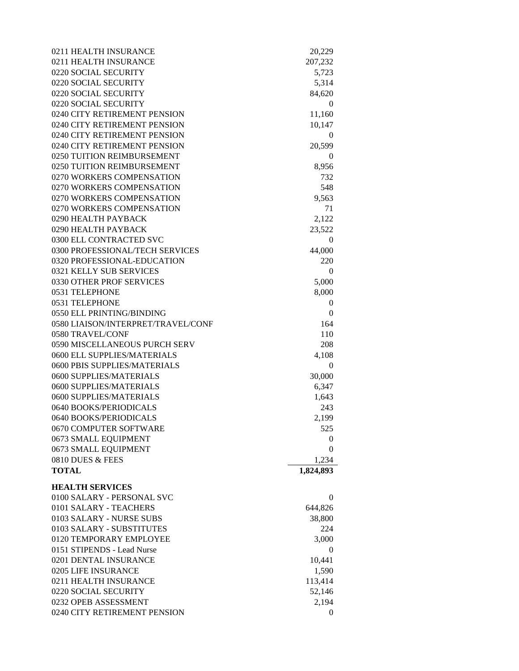| 0211 HEALTH INSURANCE              | 20,229    |
|------------------------------------|-----------|
| 0211 HEALTH INSURANCE              | 207,232   |
| 0220 SOCIAL SECURITY               | 5,723     |
| 0220 SOCIAL SECURITY               | 5,314     |
| 0220 SOCIAL SECURITY               | 84,620    |
| 0220 SOCIAL SECURITY               | $\theta$  |
| 0240 CITY RETIREMENT PENSION       | 11,160    |
| 0240 CITY RETIREMENT PENSION       | 10,147    |
| 0240 CITY RETIREMENT PENSION       | 0         |
| 0240 CITY RETIREMENT PENSION       | 20,599    |
| 0250 TUITION REIMBURSEMENT         | 0         |
| 0250 TUITION REIMBURSEMENT         | 8,956     |
| 0270 WORKERS COMPENSATION          | 732       |
| 0270 WORKERS COMPENSATION          | 548       |
| 0270 WORKERS COMPENSATION          | 9,563     |
| 0270 WORKERS COMPENSATION          | 71        |
| 0290 HEALTH PAYBACK                | 2,122     |
| 0290 HEALTH PAYBACK                | 23,522    |
| 0300 ELL CONTRACTED SVC            | 0         |
| 0300 PROFESSIONAL/TECH SERVICES    | 44,000    |
| 0320 PROFESSIONAL-EDUCATION        | 220       |
| 0321 KELLY SUB SERVICES            | 0         |
| 0330 OTHER PROF SERVICES           | 5,000     |
| 0531 TELEPHONE                     | 8,000     |
| 0531 TELEPHONE                     | 0         |
| 0550 ELL PRINTING/BINDING          | 0         |
| 0580 LIAISON/INTERPRET/TRAVEL/CONF | 164       |
| 0580 TRAVEL/CONF                   | 110       |
| 0590 MISCELLANEOUS PURCH SERV      | 208       |
| 0600 ELL SUPPLIES/MATERIALS        | 4,108     |
| 0600 PBIS SUPPLIES/MATERIALS       | 0         |
| 0600 SUPPLIES/MATERIALS            | 30,000    |
| 0600 SUPPLIES/MATERIALS            | 6,347     |
| 0600 SUPPLIES/MATERIALS            | 1,643     |
| 0640 BOOKS/PERIODICALS             | 243       |
| 0640 BOOKS/PERIODICALS             | 2,199     |
| 0670 COMPUTER SOFTWARE             | 525       |
| 0673 SMALL EQUIPMENT               | 0         |
| 0673 SMALL EQUIPMENT               | 0         |
| 0810 DUES & FEES                   | 1,234     |
| <b>TOTAL</b>                       | 1,824,893 |
|                                    |           |
| <b>HEALTH SERVICES</b>             |           |
| 0100 SALARY - PERSONAL SVC         | 0         |
| 0101 SALARY - TEACHERS             | 644,826   |
| 0103 SALARY - NURSE SUBS           | 38,800    |
| 0103 SALARY - SUBSTITUTES          | 224       |
| 0120 TEMPORARY EMPLOYEE            | 3,000     |
| 0151 STIPENDS - Lead Nurse         | 0         |
| 0201 DENTAL INSURANCE              | 10,441    |
| 0205 LIFE INSURANCE                | 1,590     |
| 0211 HEALTH INSURANCE              | 113,414   |
| 0220 SOCIAL SECURITY               | 52,146    |
| 0232 OPEB ASSESSMENT               | 2,194     |
| 0240 CITY RETIREMENT PENSION       | 0         |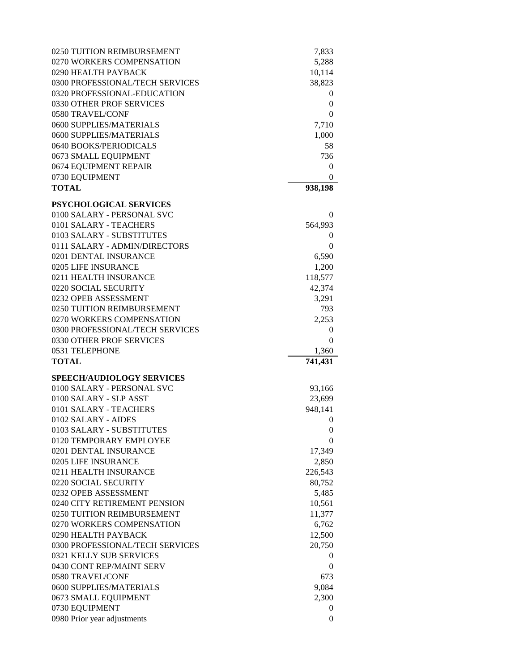| 0250 TUITION REIMBURSEMENT                    | 7,833                                |
|-----------------------------------------------|--------------------------------------|
| 0270 WORKERS COMPENSATION                     | 5,288                                |
| 0290 HEALTH PAYBACK                           | 10,114                               |
| 0300 PROFESSIONAL/TECH SERVICES               | 38,823                               |
| 0320 PROFESSIONAL-EDUCATION                   | 0                                    |
| 0330 OTHER PROF SERVICES                      | $\overline{0}$                       |
| 0580 TRAVEL/CONF                              | $\theta$                             |
| 0600 SUPPLIES/MATERIALS                       | 7,710                                |
| 0600 SUPPLIES/MATERIALS                       | 1,000                                |
| 0640 BOOKS/PERIODICALS                        | 58                                   |
| 0673 SMALL EQUIPMENT                          | 736                                  |
| 0674 EQUIPMENT REPAIR                         | $\boldsymbol{0}$                     |
| 0730 EQUIPMENT                                | $\overline{0}$                       |
| <b>TOTAL</b>                                  | 938,198                              |
| <b>PSYCHOLOGICAL SERVICES</b>                 |                                      |
| 0100 SALARY - PERSONAL SVC                    | $\theta$                             |
| 0101 SALARY - TEACHERS                        | 564,993                              |
| 0103 SALARY - SUBSTITUTES                     | 0                                    |
| 0111 SALARY - ADMIN/DIRECTORS                 | 0                                    |
| 0201 DENTAL INSURANCE                         | 6,590                                |
| 0205 LIFE INSURANCE                           | 1,200                                |
| 0211 HEALTH INSURANCE                         | 118,577                              |
| 0220 SOCIAL SECURITY                          | 42,374                               |
| 0232 OPEB ASSESSMENT                          | 3,291                                |
| 0250 TUITION REIMBURSEMENT                    | 793                                  |
| 0270 WORKERS COMPENSATION                     | 2,253                                |
| 0300 PROFESSIONAL/TECH SERVICES               | $\boldsymbol{0}$                     |
| 0330 OTHER PROF SERVICES                      | 0                                    |
| 0531 TELEPHONE                                | 1,360                                |
| <b>TOTAL</b>                                  | 741,431                              |
| SPEECH/AUDIOLOGY SERVICES                     |                                      |
| 0100 SALARY - PERSONAL SVC                    |                                      |
| 0100 SALARY - SLP ASST                        | 93,166<br>23,699                     |
| 0101 SALARY - TEACHERS                        | 948,141                              |
| 0102 SALARY - AIDES                           | 0                                    |
| 0103 SALARY - SUBSTITUTES                     | $\boldsymbol{0}$                     |
| 0120 TEMPORARY EMPLOYEE                       | 0                                    |
|                                               |                                      |
| 0201 DENTAL INSURANCE<br>0205 LIFE INSURANCE  | 17,349                               |
|                                               | 2,850                                |
| 0211 HEALTH INSURANCE                         | 226,543                              |
|                                               |                                      |
| 0220 SOCIAL SECURITY                          | 80,752                               |
| 0232 OPEB ASSESSMENT                          | 5,485                                |
| 0240 CITY RETIREMENT PENSION                  | 10,561                               |
| 0250 TUITION REIMBURSEMENT                    | 11,377                               |
| 0270 WORKERS COMPENSATION                     | 6,762                                |
| 0290 HEALTH PAYBACK                           | 12,500                               |
| 0300 PROFESSIONAL/TECH SERVICES               | 20,750                               |
| 0321 KELLY SUB SERVICES                       | 0                                    |
| 0430 CONT REP/MAINT SERV                      | 0                                    |
| 0580 TRAVEL/CONF                              | 673                                  |
| 0600 SUPPLIES/MATERIALS                       | 9,084                                |
| 0673 SMALL EQUIPMENT                          | 2,300                                |
| 0730 EQUIPMENT<br>0980 Prior year adjustments | $\boldsymbol{0}$<br>$\boldsymbol{0}$ |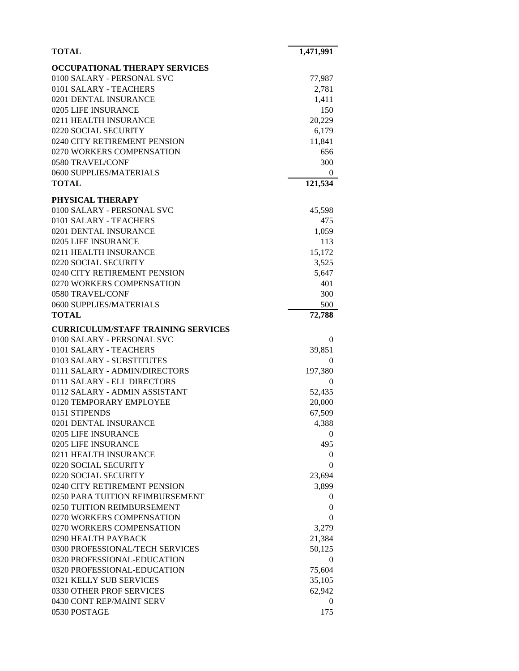| <b>TOTAL</b>                              | 1,471,991        |
|-------------------------------------------|------------------|
| <b>OCCUPATIONAL THERAPY SERVICES</b>      |                  |
| 0100 SALARY - PERSONAL SVC                | 77,987           |
| 0101 SALARY - TEACHERS                    | 2,781            |
| 0201 DENTAL INSURANCE                     | 1,411            |
| 0205 LIFE INSURANCE                       | 150              |
| 0211 HEALTH INSURANCE                     | 20,229           |
| 0220 SOCIAL SECURITY                      | 6,179            |
| 0240 CITY RETIREMENT PENSION              | 11,841           |
| 0270 WORKERS COMPENSATION                 | 656              |
| 0580 TRAVEL/CONF                          | 300              |
| 0600 SUPPLIES/MATERIALS                   | $\theta$         |
| <b>TOTAL</b>                              | 121,534          |
| PHYSICAL THERAPY                          |                  |
| 0100 SALARY - PERSONAL SVC                | 45,598           |
| 0101 SALARY - TEACHERS                    | 475              |
| 0201 DENTAL INSURANCE                     | 1,059            |
| 0205 LIFE INSURANCE                       | 113              |
| 0211 HEALTH INSURANCE                     |                  |
| 0220 SOCIAL SECURITY                      | 15,172<br>3,525  |
| 0240 CITY RETIREMENT PENSION              |                  |
| 0270 WORKERS COMPENSATION                 | 5,647<br>401     |
| 0580 TRAVEL/CONF                          | 300              |
| 0600 SUPPLIES/MATERIALS                   | 500              |
| <b>TOTAL</b>                              | 72,788           |
|                                           |                  |
| <b>CURRICULUM/STAFF TRAINING SERVICES</b> |                  |
| 0100 SALARY - PERSONAL SVC                | 0                |
| 0101 SALARY - TEACHERS                    | 39,851           |
| 0103 SALARY - SUBSTITUTES                 | 0                |
| 0111 SALARY - ADMIN/DIRECTORS             | 197,380          |
| 0111 SALARY - ELL DIRECTORS               | 0                |
| 0112 SALARY - ADMIN ASSISTANT             | 52,435           |
| 0120 TEMPORARY EMPLOYEE                   | 20,000           |
| 0151 STIPENDS                             | 67,509           |
| 0201 DENTAL INSURANCE                     | 4,388            |
| 0205 LIFE INSURANCE                       | 0                |
| 0205 LIFE INSURANCE                       | 495              |
| 0211 HEALTH INSURANCE                     | $\theta$         |
| 0220 SOCIAL SECURITY                      | $\theta$         |
| 0220 SOCIAL SECURITY                      | 23,694           |
| 0240 CITY RETIREMENT PENSION              | 3,899            |
| 0250 PARA TUITION REIMBURSEMENT           | 0                |
| 0250 TUITION REIMBURSEMENT                | $\overline{0}$   |
| 0270 WORKERS COMPENSATION                 | $\theta$         |
| 0270 WORKERS COMPENSATION                 | 3,279            |
| 0290 HEALTH PAYBACK                       | 21,384           |
| 0300 PROFESSIONAL/TECH SERVICES           | 50,125           |
| 0320 PROFESSIONAL-EDUCATION               | 0                |
| 0320 PROFESSIONAL-EDUCATION               | 75,604           |
| 0321 KELLY SUB SERVICES                   | 35,105           |
| 0330 OTHER PROF SERVICES                  | 62,942           |
| 0430 CONT REP/MAINT SERV                  | $\boldsymbol{0}$ |
| 0530 POSTAGE                              | 175              |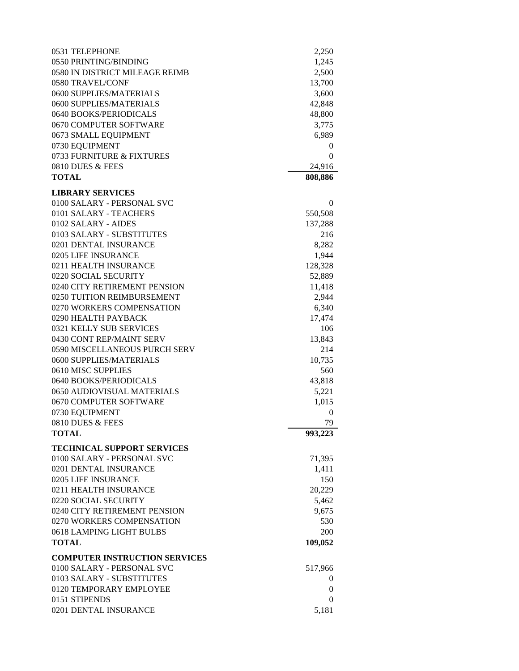| 0531 TELEPHONE                       | 2,250          |
|--------------------------------------|----------------|
| 0550 PRINTING/BINDING                | 1,245          |
| 0580 IN DISTRICT MILEAGE REIMB       | 2,500          |
| 0580 TRAVEL/CONF                     | 13,700         |
| 0600 SUPPLIES/MATERIALS              | 3,600          |
| 0600 SUPPLIES/MATERIALS              | 42,848         |
| 0640 BOOKS/PERIODICALS               | 48,800         |
| 0670 COMPUTER SOFTWARE               | 3,775          |
| 0673 SMALL EQUIPMENT                 | 6,989          |
| 0730 EQUIPMENT                       | 0              |
| 0733 FURNITURE & FIXTURES            | 0              |
| 0810 DUES & FEES                     | 24,916         |
| <b>TOTAL</b>                         | 808,886        |
|                                      |                |
| <b>LIBRARY SERVICES</b>              |                |
| 0100 SALARY - PERSONAL SVC           | 0              |
| 0101 SALARY - TEACHERS               | 550,508        |
| 0102 SALARY - AIDES                  | 137,288        |
| 0103 SALARY - SUBSTITUTES            | 216            |
| 0201 DENTAL INSURANCE                | 8,282          |
| 0205 LIFE INSURANCE                  | 1,944          |
| 0211 HEALTH INSURANCE                | 128,328        |
| 0220 SOCIAL SECURITY                 | 52,889         |
| 0240 CITY RETIREMENT PENSION         | 11,418         |
| 0250 TUITION REIMBURSEMENT           | 2,944          |
| 0270 WORKERS COMPENSATION            | 6,340          |
| 0290 HEALTH PAYBACK                  | 17,474         |
| 0321 KELLY SUB SERVICES              | 106            |
| 0430 CONT REP/MAINT SERV             |                |
|                                      | 13,843         |
| 0590 MISCELLANEOUS PURCH SERV        | 214            |
| 0600 SUPPLIES/MATERIALS              | 10,735         |
| 0610 MISC SUPPLIES                   | 560            |
| 0640 BOOKS/PERIODICALS               | 43,818         |
| 0650 AUDIOVISUAL MATERIALS           | 5,221          |
| 0670 COMPUTER SOFTWARE               | 1,015          |
| 0730 EQUIPMENT                       | $\overline{0}$ |
| $0810$ DUES & FEES                   | 79             |
| <b>TOTAL</b>                         | 993,223        |
| <b>TECHNICAL SUPPORT SERVICES</b>    |                |
| 0100 SALARY - PERSONAL SVC           | 71,395         |
| 0201 DENTAL INSURANCE                | 1,411          |
| 0205 LIFE INSURANCE                  | 150            |
| 0211 HEALTH INSURANCE                | 20,229         |
| 0220 SOCIAL SECURITY                 | 5,462          |
|                                      |                |
| 0240 CITY RETIREMENT PENSION         | 9,675          |
| 0270 WORKERS COMPENSATION            | 530            |
| 0618 LAMPING LIGHT BULBS             | 200            |
| <b>TOTAL</b>                         | 109,052        |
| <b>COMPUTER INSTRUCTION SERVICES</b> |                |
| 0100 SALARY - PERSONAL SVC           | 517,966        |
| 0103 SALARY - SUBSTITUTES            | 0              |
| 0120 TEMPORARY EMPLOYEE              | $\overline{0}$ |
| 0151 STIPENDS                        | 0              |
| 0201 DENTAL INSURANCE                | 5,181          |
|                                      |                |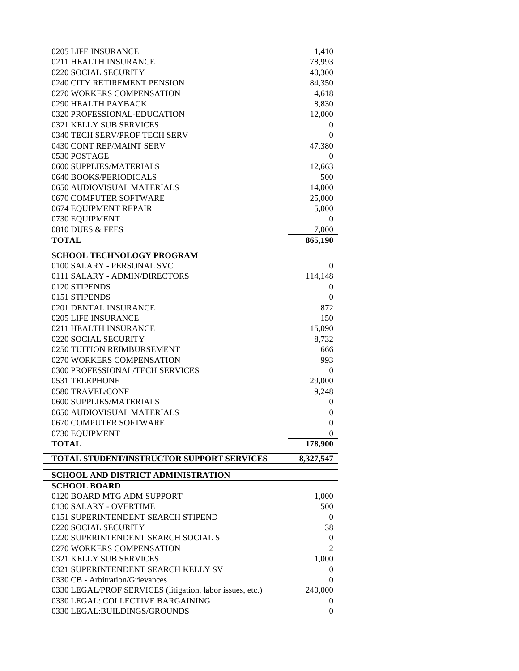| 0205 LIFE INSURANCE                                       | 1,410            |
|-----------------------------------------------------------|------------------|
| 0211 HEALTH INSURANCE                                     | 78,993           |
| 0220 SOCIAL SECURITY                                      | 40,300           |
| 0240 CITY RETIREMENT PENSION                              | 84,350           |
| 0270 WORKERS COMPENSATION                                 | 4,618            |
| 0290 HEALTH PAYBACK                                       | 8,830            |
| 0320 PROFESSIONAL-EDUCATION                               | 12,000           |
| 0321 KELLY SUB SERVICES                                   | $\theta$         |
| 0340 TECH SERV/PROF TECH SERV                             | $\Omega$         |
| 0430 CONT REP/MAINT SERV                                  | 47,380           |
| 0530 POSTAGE                                              | $\theta$         |
| 0600 SUPPLIES/MATERIALS                                   | 12,663           |
| 0640 BOOKS/PERIODICALS                                    | 500              |
| 0650 AUDIOVISUAL MATERIALS                                | 14,000           |
| 0670 COMPUTER SOFTWARE                                    | 25,000           |
| 0674 EQUIPMENT REPAIR                                     | 5,000            |
| 0730 EQUIPMENT                                            | $\boldsymbol{0}$ |
| 0810 DUES & FEES                                          | 7,000            |
| <b>TOTAL</b>                                              | 865,190          |
|                                                           |                  |
| <b>SCHOOL TECHNOLOGY PROGRAM</b>                          |                  |
| 0100 SALARY - PERSONAL SVC                                | $\theta$         |
| 0111 SALARY - ADMIN/DIRECTORS                             | 114,148          |
| 0120 STIPENDS                                             | $\theta$         |
| 0151 STIPENDS                                             | $\theta$         |
| 0201 DENTAL INSURANCE                                     | 872              |
| 0205 LIFE INSURANCE                                       | 150              |
| 0211 HEALTH INSURANCE                                     | 15,090           |
| 0220 SOCIAL SECURITY                                      | 8,732            |
| 0250 TUITION REIMBURSEMENT                                | 666              |
| 0270 WORKERS COMPENSATION                                 | 993              |
| 0300 PROFESSIONAL/TECH SERVICES                           | $\theta$         |
| 0531 TELEPHONE                                            | 29,000           |
| 0580 TRAVEL/CONF                                          | 9,248            |
| 0600 SUPPLIES/MATERIALS                                   | $\theta$         |
| 0650 AUDIOVISUAL MATERIALS                                | 0                |
| 0670 COMPUTER SOFTWARE                                    | $\overline{0}$   |
| 0730 EQUIPMENT                                            | $\overline{0}$   |
| <b>TOTAL</b>                                              | 178,900          |
| TOTAL STUDENT/INSTRUCTOR SUPPORT SERVICES                 | 8,327,547        |
|                                                           |                  |
| SCHOOL AND DISTRICT ADMINISTRATION                        |                  |
| <b>SCHOOL BOARD</b>                                       |                  |
| 0120 BOARD MTG ADM SUPPORT                                | 1,000            |
| 0130 SALARY - OVERTIME                                    | 500              |
| 0151 SUPERINTENDENT SEARCH STIPEND                        | 0                |
| 0220 SOCIAL SECURITY                                      | 38               |
| 0220 SUPERINTENDENT SEARCH SOCIAL S                       | 0                |
| 0270 WORKERS COMPENSATION                                 | 2                |
| 0321 KELLY SUB SERVICES                                   | 1,000            |
| 0321 SUPERINTENDENT SEARCH KELLY SV                       | $\theta$         |
| 0330 CB - Arbitration/Grievances                          | 0                |
| 0330 LEGAL/PROF SERVICES (litigation, labor issues, etc.) | 240,000          |
| 0330 LEGAL: COLLECTIVE BARGAINING                         | 0                |
| 0330 LEGAL: BUILDINGS/GROUNDS                             | 0                |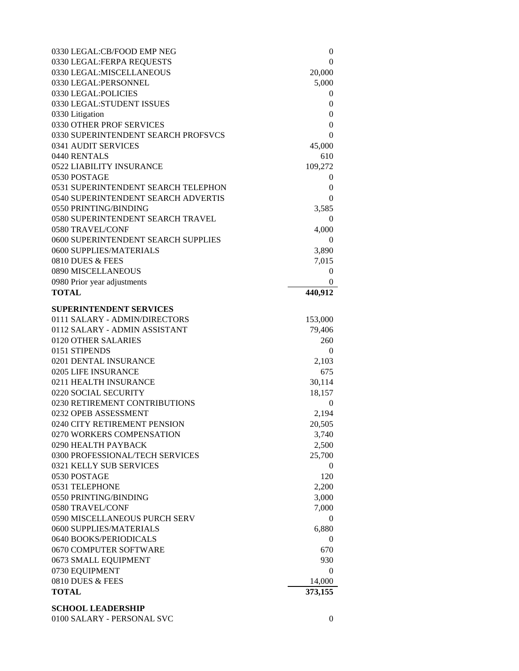| 0330 LEGAL:CB/FOOD EMP NEG                        | $\overline{0}$        |
|---------------------------------------------------|-----------------------|
| 0330 LEGAL:FERPA REQUESTS                         | 0                     |
| 0330 LEGAL: MISCELLANEOUS                         | 20,000                |
| 0330 LEGAL: PERSONNEL                             | 5,000                 |
| 0330 LEGAL: POLICIES                              | 0                     |
| 0330 LEGAL:STUDENT ISSUES                         | $\overline{0}$        |
| 0330 Litigation                                   | $\overline{0}$        |
| 0330 OTHER PROF SERVICES                          | $\overline{0}$        |
| 0330 SUPERINTENDENT SEARCH PROFSVCS               | $\theta$              |
| 0341 AUDIT SERVICES                               | 45,000                |
| 0440 RENTALS                                      | 610                   |
| 0522 LIABILITY INSURANCE                          | 109,272               |
| 0530 POSTAGE                                      | $\theta$              |
| 0531 SUPERINTENDENT SEARCH TELEPHON               | $\boldsymbol{0}$      |
| 0540 SUPERINTENDENT SEARCH ADVERTIS               | 0                     |
| 0550 PRINTING/BINDING                             | 3,585                 |
| 0580 SUPERINTENDENT SEARCH TRAVEL                 | $\theta$              |
| 0580 TRAVEL/CONF                                  | 4,000                 |
| 0600 SUPERINTENDENT SEARCH SUPPLIES               | $\theta$              |
| 0600 SUPPLIES/MATERIALS                           | 3,890                 |
| 0810 DUES & FEES                                  | 7,015                 |
| 0890 MISCELLANEOUS                                | $\theta$              |
| 0980 Prior year adjustments                       | $\theta$              |
| <b>TOTAL</b>                                      | 440,912               |
|                                                   |                       |
| <b>SUPERINTENDENT SERVICES</b>                    |                       |
| 0111 SALARY - ADMIN/DIRECTORS                     | 153,000               |
| 0112 SALARY - ADMIN ASSISTANT                     | 79,406                |
| 0120 OTHER SALARIES                               | 260                   |
| 0151 STIPENDS                                     | 0                     |
| 0201 DENTAL INSURANCE                             | 2,103                 |
| 0205 LIFE INSURANCE                               | 675                   |
| 0211 HEALTH INSURANCE                             | 30,114                |
| 0220 SOCIAL SECURITY                              | 18,157                |
| 0230 RETIREMENT CONTRIBUTIONS                     | 0                     |
| 0232 OPEB ASSESSMENT                              | 2,194                 |
| 0240 CITY RETIREMENT PENSION                      | 20,505                |
| 0270 WORKERS COMPENSATION                         | 3,740                 |
| 0290 HEALTH PAYBACK                               | 2,500                 |
| 0300 PROFESSIONAL/TECH SERVICES                   | 25,700                |
| 0321 KELLY SUB SERVICES                           | $\theta$              |
| 0530 POSTAGE<br>0531 TELEPHONE                    | 120                   |
|                                                   | 2,200                 |
| 0550 PRINTING/BINDING                             | 3,000                 |
| 0580 TRAVEL/CONF<br>0590 MISCELLANEOUS PURCH SERV | 7,000                 |
|                                                   | $\overline{0}$        |
| 0600 SUPPLIES/MATERIALS                           | 6,880                 |
| 0640 BOOKS/PERIODICALS<br>0670 COMPUTER SOFTWARE  | $\overline{0}$<br>670 |
|                                                   | 930                   |
| 0673 SMALL EQUIPMENT<br>0730 EQUIPMENT            | $\boldsymbol{0}$      |
| 0810 DUES & FEES                                  | 14,000                |
| <b>TOTAL</b>                                      | 373,155               |
|                                                   |                       |
| <b>SCHOOL LEADERSHIP</b>                          |                       |

0100 SALARY - PERSONAL SVC 0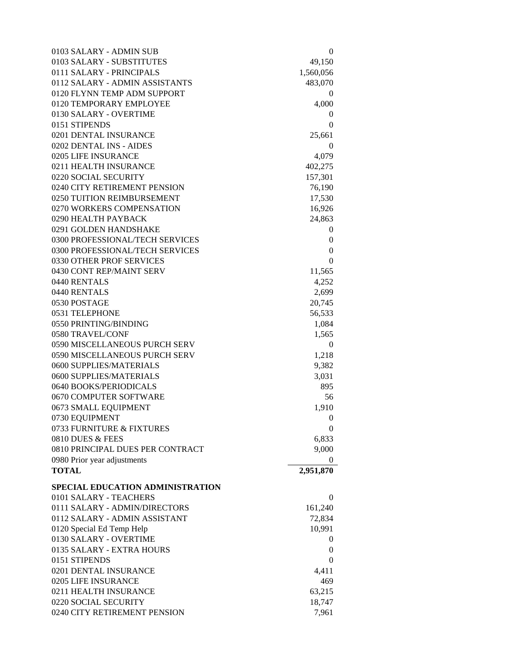| 0103 SALARY - ADMIN SUB          | $\overline{0}$   |
|----------------------------------|------------------|
| 0103 SALARY - SUBSTITUTES        | 49,150           |
| 0111 SALARY - PRINCIPALS         | 1,560,056        |
| 0112 SALARY - ADMIN ASSISTANTS   | 483,070          |
| 0120 FLYNN TEMP ADM SUPPORT      | 0                |
| 0120 TEMPORARY EMPLOYEE          | 4,000            |
| 0130 SALARY - OVERTIME           | 0                |
| 0151 STIPENDS                    | $\theta$         |
| 0201 DENTAL INSURANCE            | 25,661           |
| 0202 DENTAL INS - AIDES          | $\overline{0}$   |
| 0205 LIFE INSURANCE              | 4,079            |
| 0211 HEALTH INSURANCE            | 402,275          |
| 0220 SOCIAL SECURITY             | 157,301          |
| 0240 CITY RETIREMENT PENSION     | 76,190           |
| 0250 TUITION REIMBURSEMENT       | 17,530           |
| 0270 WORKERS COMPENSATION        | 16,926           |
| 0290 HEALTH PAYBACK              | 24,863           |
| 0291 GOLDEN HANDSHAKE            | 0                |
| 0300 PROFESSIONAL/TECH SERVICES  | 0                |
| 0300 PROFESSIONAL/TECH SERVICES  | 0                |
| 0330 OTHER PROF SERVICES         | 0                |
| 0430 CONT REP/MAINT SERV         | 11,565           |
| 0440 RENTALS                     | 4,252            |
| 0440 RENTALS                     | 2,699            |
| 0530 POSTAGE                     | 20,745           |
| 0531 TELEPHONE                   | 56,533           |
| 0550 PRINTING/BINDING            | 1,084            |
| 0580 TRAVEL/CONF                 | 1,565            |
| 0590 MISCELLANEOUS PURCH SERV    | $\overline{0}$   |
| 0590 MISCELLANEOUS PURCH SERV    | 1,218            |
|                                  |                  |
| 0600 SUPPLIES/MATERIALS          | 9,382            |
| 0600 SUPPLIES/MATERIALS          | 3,031            |
| 0640 BOOKS/PERIODICALS           | 895              |
| 0670 COMPUTER SOFTWARE           | 56               |
| 0673 SMALL EQUIPMENT             | 1,910            |
| 0730 EQUIPMENT                   | $\boldsymbol{0}$ |
| 0733 FURNITURE & FIXTURES        | $\boldsymbol{0}$ |
| 0810 DUES & FEES                 | 6,833            |
| 0810 PRINCIPAL DUES PER CONTRACT | 9,000            |
| 0980 Prior year adjustments      | $\boldsymbol{0}$ |
| <b>TOTAL</b>                     | 2,951,870        |
| SPECIAL EDUCATION ADMINISTRATION |                  |
| 0101 SALARY - TEACHERS           | $\theta$         |
| 0111 SALARY - ADMIN/DIRECTORS    | 161,240          |
| 0112 SALARY - ADMIN ASSISTANT    | 72,834           |
| 0120 Special Ed Temp Help        | 10,991           |
| 0130 SALARY - OVERTIME           | $\bf{0}$         |
| 0135 SALARY - EXTRA HOURS        | 0                |
| 0151 STIPENDS                    | 0                |
| 0201 DENTAL INSURANCE            | 4,411            |
| 0205 LIFE INSURANCE              | 469              |
| 0211 HEALTH INSURANCE            | 63,215           |
| 0220 SOCIAL SECURITY             | 18,747           |
| 0240 CITY RETIREMENT PENSION     | 7,961            |
|                                  |                  |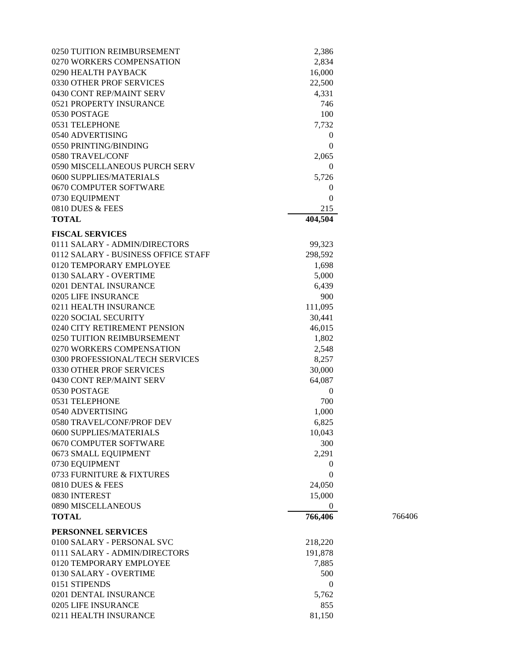| 0250 TUITION REIMBURSEMENT                  | 2,386               |        |
|---------------------------------------------|---------------------|--------|
| 0270 WORKERS COMPENSATION                   | 2,834               |        |
| 0290 HEALTH PAYBACK                         | 16,000              |        |
| 0330 OTHER PROF SERVICES                    | 22,500              |        |
| 0430 CONT REP/MAINT SERV                    | 4,331               |        |
| 0521 PROPERTY INSURANCE                     | 746                 |        |
| 0530 POSTAGE                                | 100                 |        |
| 0531 TELEPHONE                              | 7,732               |        |
| 0540 ADVERTISING                            | $\overline{0}$      |        |
| 0550 PRINTING/BINDING                       | $\overline{0}$      |        |
| 0580 TRAVEL/CONF                            | 2,065               |        |
| 0590 MISCELLANEOUS PURCH SERV               | $\theta$            |        |
| 0600 SUPPLIES/MATERIALS                     | 5,726               |        |
| 0670 COMPUTER SOFTWARE                      | $\overline{0}$      |        |
| 0730 EQUIPMENT                              | $\overline{0}$      |        |
| 0810 DUES & FEES                            | 215                 |        |
| <b>TOTAL</b>                                | 404,504             |        |
| <b>FISCAL SERVICES</b>                      |                     |        |
| 0111 SALARY - ADMIN/DIRECTORS               | 99,323              |        |
| 0112 SALARY - BUSINESS OFFICE STAFF         | 298,592             |        |
| 0120 TEMPORARY EMPLOYEE                     | 1,698               |        |
| 0130 SALARY - OVERTIME                      | 5,000               |        |
| 0201 DENTAL INSURANCE                       | 6,439               |        |
| 0205 LIFE INSURANCE                         | 900                 |        |
| 0211 HEALTH INSURANCE                       | 111,095             |        |
| 0220 SOCIAL SECURITY                        | 30,441              |        |
| 0240 CITY RETIREMENT PENSION                | 46,015              |        |
| 0250 TUITION REIMBURSEMENT                  | 1,802               |        |
| 0270 WORKERS COMPENSATION                   | 2,548               |        |
| 0300 PROFESSIONAL/TECH SERVICES             | 8,257               |        |
| 0330 OTHER PROF SERVICES                    | 30,000              |        |
| 0430 CONT REP/MAINT SERV                    | 64,087              |        |
| 0530 POSTAGE                                |                     |        |
| 0531 TELEPHONE                              | $\boldsymbol{0}$    |        |
| 0540 ADVERTISING                            | 700<br>1,000        |        |
|                                             |                     |        |
| 0580 TRAVEL/CONF/PROF DEV                   | 6,825               |        |
| 0600 SUPPLIES/MATERIALS                     | 10,043              |        |
| 0670 COMPUTER SOFTWARE                      | 300                 |        |
| 0673 SMALL EQUIPMENT                        | 2,291               |        |
| 0730 EQUIPMENT<br>0733 FURNITURE & FIXTURES | $\boldsymbol{0}$    |        |
|                                             | 0                   |        |
| 0810 DUES & FEES                            | 24,050              |        |
| 0830 INTEREST                               | 15,000              |        |
| 0890 MISCELLANEOUS<br><b>TOTAL</b>          | $\theta$<br>766,406 | 766406 |
|                                             |                     |        |
| PERSONNEL SERVICES                          |                     |        |
| 0100 SALARY - PERSONAL SVC                  | 218,220             |        |
| 0111 SALARY - ADMIN/DIRECTORS               | 191,878             |        |
| 0120 TEMPORARY EMPLOYEE                     | 7,885               |        |
| 0130 SALARY - OVERTIME                      | 500                 |        |
| 0151 STIPENDS                               | $\mathbf{0}$        |        |
| 0201 DENTAL INSURANCE                       | 5,762               |        |
| 0205 LIFE INSURANCE                         | 855                 |        |
| 0211 HEALTH INSURANCE                       | 81,150              |        |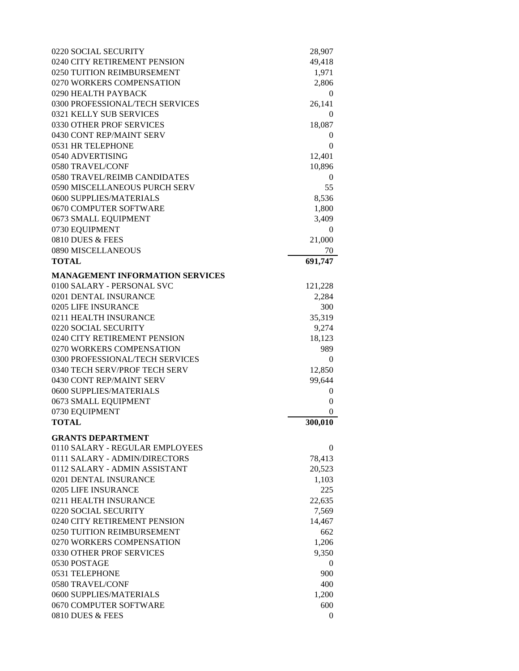| 0220 SOCIAL SECURITY                   | 28,907           |
|----------------------------------------|------------------|
| 0240 CITY RETIREMENT PENSION           | 49,418           |
| 0250 TUITION REIMBURSEMENT             | 1,971            |
| 0270 WORKERS COMPENSATION              | 2,806            |
| 0290 HEALTH PAYBACK                    | 0                |
| 0300 PROFESSIONAL/TECH SERVICES        | 26,141           |
| 0321 KELLY SUB SERVICES                | 0                |
| 0330 OTHER PROF SERVICES               | 18,087           |
| 0430 CONT REP/MAINT SERV               | $\boldsymbol{0}$ |
| 0531 HR TELEPHONE                      | $\theta$         |
| 0540 ADVERTISING                       | 12,401           |
| 0580 TRAVEL/CONF                       | 10,896           |
| <b>0580 TRAVEL/REIMB CANDIDATES</b>    | $\boldsymbol{0}$ |
| 0590 MISCELLANEOUS PURCH SERV          | 55               |
| 0600 SUPPLIES/MATERIALS                | 8,536            |
| 0670 COMPUTER SOFTWARE                 |                  |
|                                        | 1,800            |
| 0673 SMALL EQUIPMENT                   | 3,409            |
| 0730 EQUIPMENT                         | 0                |
| 0810 DUES & FEES                       | 21,000           |
| 0890 MISCELLANEOUS                     | 70               |
| <b>TOTAL</b>                           | 691,747          |
| <b>MANAGEMENT INFORMATION SERVICES</b> |                  |
| 0100 SALARY - PERSONAL SVC             | 121,228          |
| 0201 DENTAL INSURANCE                  | 2,284            |
| 0205 LIFE INSURANCE                    | 300              |
| 0211 HEALTH INSURANCE                  | 35,319           |
| 0220 SOCIAL SECURITY                   | 9,274            |
| 0240 CITY RETIREMENT PENSION           | 18,123           |
| 0270 WORKERS COMPENSATION              | 989              |
| 0300 PROFESSIONAL/TECH SERVICES        | 0                |
| 0340 TECH SERV/PROF TECH SERV          | 12,850           |
| 0430 CONT REP/MAINT SERV               | 99,644           |
| 0600 SUPPLIES/MATERIALS                | $\boldsymbol{0}$ |
| 0673 SMALL EQUIPMENT                   | $\boldsymbol{0}$ |
| 0730 EQUIPMENT                         | $\mathbf{0}$     |
| <b>TOTAL</b>                           | 300,010          |
|                                        |                  |
| <b>GRANTS DEPARTMENT</b>               |                  |
| 0110 SALARY - REGULAR EMPLOYEES        | 0                |
| 0111 SALARY - ADMIN/DIRECTORS          | 78,413           |
| 0112 SALARY - ADMIN ASSISTANT          | 20,523           |
| 0201 DENTAL INSURANCE                  | 1,103            |
| 0205 LIFE INSURANCE                    | 225              |
| 0211 HEALTH INSURANCE                  | 22,635           |
| 0220 SOCIAL SECURITY                   | 7,569            |
| 0240 CITY RETIREMENT PENSION           | 14,467           |
| 0250 TUITION REIMBURSEMENT             | 662              |
| 0270 WORKERS COMPENSATION              | 1,206            |
| 0330 OTHER PROF SERVICES               | 9,350            |
| 0530 POSTAGE                           | 0                |
| 0531 TELEPHONE                         | 900              |
| 0580 TRAVEL/CONF                       | 400              |
| 0600 SUPPLIES/MATERIALS                | 1,200            |
| 0670 COMPUTER SOFTWARE                 | 600              |
| 0810 DUES & FEES                       | 0                |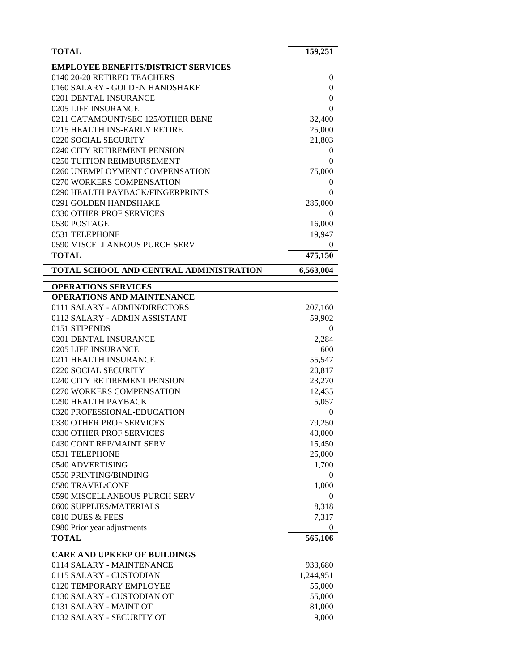| <b>TOTAL</b>                                        | 159,251             |
|-----------------------------------------------------|---------------------|
| <b>EMPLOYEE BENEFITS/DISTRICT SERVICES</b>          |                     |
| 0140 20-20 RETIRED TEACHERS                         | $\boldsymbol{0}$    |
| 0160 SALARY - GOLDEN HANDSHAKE                      | $\theta$            |
| 0201 DENTAL INSURANCE                               | 0                   |
| 0205 LIFE INSURANCE                                 | 0                   |
| 0211 CATAMOUNT/SEC 125/OTHER BENE                   | 32,400              |
| 0215 HEALTH INS-EARLY RETIRE                        | 25,000              |
| 0220 SOCIAL SECURITY                                | 21,803              |
| 0240 CITY RETIREMENT PENSION                        | $\boldsymbol{0}$    |
| 0250 TUITION REIMBURSEMENT                          | 0                   |
| 0260 UNEMPLOYMENT COMPENSATION                      | 75,000              |
| 0270 WORKERS COMPENSATION                           | $\boldsymbol{0}$    |
| 0290 HEALTH PAYBACK/FINGERPRINTS                    | 0                   |
| 0291 GOLDEN HANDSHAKE                               | 285,000             |
| 0330 OTHER PROF SERVICES                            | 0                   |
| 0530 POSTAGE                                        | 16,000              |
| 0531 TELEPHONE<br>0590 MISCELLANEOUS PURCH SERV     | 19,947              |
| <b>TOTAL</b>                                        | $\theta$<br>475,150 |
|                                                     |                     |
| TOTAL SCHOOL AND CENTRAL ADMINISTRATION             | 6,563,004           |
| <b>OPERATIONS SERVICES</b>                          |                     |
| <b>OPERATIONS AND MAINTENANCE</b>                   |                     |
| 0111 SALARY - ADMIN/DIRECTORS                       | 207,160             |
| 0112 SALARY - ADMIN ASSISTANT                       | 59,902              |
| 0151 STIPENDS                                       | 0                   |
| 0201 DENTAL INSURANCE                               | 2,284               |
| 0205 LIFE INSURANCE                                 | 600                 |
| 0211 HEALTH INSURANCE<br>0220 SOCIAL SECURITY       | 55,547              |
| 0240 CITY RETIREMENT PENSION                        | 20,817<br>23,270    |
| 0270 WORKERS COMPENSATION                           | 12,435              |
| 0290 HEALTH PAYBACK                                 | 5,057               |
| 0320 PROFESSIONAL-EDUCATION                         | 0                   |
| 0330 OTHER PROF SERVICES                            | 79,250              |
| 0330 OTHER PROF SERVICES                            | 40,000              |
| 0430 CONT REP/MAINT SERV                            |                     |
|                                                     |                     |
| 0531 TELEPHONE                                      | 15,450<br>25,000    |
| 0540 ADVERTISING                                    | 1,700               |
| 0550 PRINTING/BINDING                               | $\bf{0}$            |
| 0580 TRAVEL/CONF                                    | 1,000               |
| 0590 MISCELLANEOUS PURCH SERV                       | 0                   |
| 0600 SUPPLIES/MATERIALS                             | 8,318               |
| 0810 DUES & FEES                                    | 7,317               |
| 0980 Prior year adjustments                         | $\boldsymbol{0}$    |
| <b>TOTAL</b>                                        | 565,106             |
| <b>CARE AND UPKEEP OF BUILDINGS</b>                 |                     |
| 0114 SALARY - MAINTENANCE                           | 933,680             |
| 0115 SALARY - CUSTODIAN                             | 1,244,951           |
| 0120 TEMPORARY EMPLOYEE                             | 55,000              |
| 0130 SALARY - CUSTODIAN OT                          | 55,000              |
| 0131 SALARY - MAINT OT<br>0132 SALARY - SECURITY OT | 81,000<br>9,000     |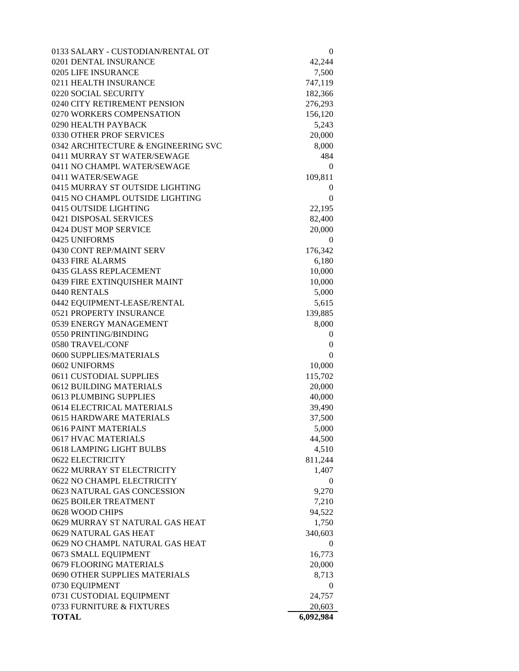| 0133 SALARY - CUSTODIAN/RENTAL OT                        | 0                       |
|----------------------------------------------------------|-------------------------|
| 0201 DENTAL INSURANCE                                    | 42,244                  |
| 0205 LIFE INSURANCE                                      | 7,500                   |
| 0211 HEALTH INSURANCE                                    | 747,119                 |
| 0220 SOCIAL SECURITY                                     | 182,366                 |
| 0240 CITY RETIREMENT PENSION                             | 276,293                 |
| 0270 WORKERS COMPENSATION                                | 156,120                 |
| 0290 HEALTH PAYBACK                                      | 5,243                   |
| 0330 OTHER PROF SERVICES                                 | 20,000                  |
| 0342 ARCHITECTURE & ENGINEERING SVC                      | 8,000                   |
| 0411 MURRAY ST WATER/SEWAGE                              | 484                     |
| 0411 NO CHAMPL WATER/SEWAGE                              | $\Omega$                |
| 0411 WATER/SEWAGE                                        | 109,811                 |
| 0415 MURRAY ST OUTSIDE LIGHTING                          | $\theta$                |
| 0415 NO CHAMPL OUTSIDE LIGHTING                          | $\theta$                |
| 0415 OUTSIDE LIGHTING                                    | 22,195                  |
| 0421 DISPOSAL SERVICES                                   | 82,400                  |
| 0424 DUST MOP SERVICE                                    | 20,000                  |
| 0425 UNIFORMS                                            | 0                       |
| 0430 CONT REP/MAINT SERV                                 | 176,342                 |
| 0433 FIRE ALARMS                                         | 6,180                   |
| 0435 GLASS REPLACEMENT                                   | 10,000                  |
| 0439 FIRE EXTINQUISHER MAINT                             | 10,000                  |
| 0440 RENTALS                                             | 5,000                   |
| 0442 EQUIPMENT-LEASE/RENTAL                              | 5,615                   |
| 0521 PROPERTY INSURANCE                                  | 139,885                 |
| 0539 ENERGY MANAGEMENT                                   | 8,000                   |
| 0550 PRINTING/BINDING                                    | 0                       |
| 0580 TRAVEL/CONF                                         | 0                       |
| 0600 SUPPLIES/MATERIALS                                  | 0                       |
| 0602 UNIFORMS                                            | 10,000                  |
| 0611 CUSTODIAL SUPPLIES                                  | 115,702                 |
| 0612 BUILDING MATERIALS                                  | 20,000                  |
| 0613 PLUMBING SUPPLIES                                   | 40,000                  |
| 0614 ELECTRICAL MATERIALS                                | 39,490                  |
| <b>0615 HARDWARE MATERIALS</b>                           | 37,500                  |
| 0616 PAINT MATERIALS                                     | 5,000                   |
| 0617 HVAC MATERIALS                                      | 44,500                  |
| 0618 LAMPING LIGHT BULBS                                 | 4,510                   |
| 0622 ELECTRICITY                                         | 811,244                 |
| 0622 MURRAY ST ELECTRICITY<br>0622 NO CHAMPL ELECTRICITY | 1,407<br>$\overline{0}$ |
| 0623 NATURAL GAS CONCESSION                              | 9,270                   |
| <b>0625 BOILER TREATMENT</b>                             |                         |
| 0628 WOOD CHIPS                                          | 7,210<br>94,522         |
| 0629 MURRAY ST NATURAL GAS HEAT                          | 1,750                   |
| 0629 NATURAL GAS HEAT                                    | 340,603                 |
| 0629 NO CHAMPL NATURAL GAS HEAT                          | $\theta$                |
| 0673 SMALL EQUIPMENT                                     | 16,773                  |
| 0679 FLOORING MATERIALS                                  | 20,000                  |
| 0690 OTHER SUPPLIES MATERIALS                            | 8,713                   |
| 0730 EQUIPMENT                                           | 0                       |
| 0731 CUSTODIAL EQUIPMENT                                 | 24,757                  |
| 0733 FURNITURE & FIXTURES                                | 20,603                  |
| <b>TOTAL</b>                                             | $\overline{6,092,984}$  |
|                                                          |                         |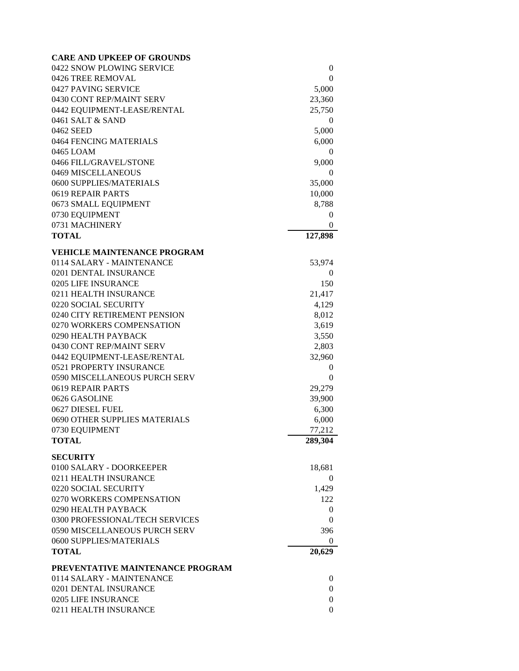| <b>CARE AND UPKEEP OF GROUNDS</b>  |                  |
|------------------------------------|------------------|
| 0422 SNOW PLOWING SERVICE          | $\boldsymbol{0}$ |
| 0426 TREE REMOVAL                  | $\theta$         |
| 0427 PAVING SERVICE                | 5,000            |
| 0430 CONT REP/MAINT SERV           | 23,360           |
| 0442 EQUIPMENT-LEASE/RENTAL        | 25,750           |
| 0461 SALT & SAND                   | $\theta$         |
| 0462 SEED                          | 5,000            |
| 0464 FENCING MATERIALS             | 6,000            |
| 0465 LOAM                          | $\theta$         |
| 0466 FILL/GRAVEL/STONE             | 9,000            |
| 0469 MISCELLANEOUS                 | $\theta$         |
| 0600 SUPPLIES/MATERIALS            | 35,000           |
| 0619 REPAIR PARTS                  | 10,000           |
| 0673 SMALL EQUIPMENT               | 8,788            |
| 0730 EQUIPMENT                     | $\overline{0}$   |
| 0731 MACHINERY                     | $\theta$         |
| <b>TOTAL</b>                       | 127,898          |
| <b>VEHICLE MAINTENANCE PROGRAM</b> |                  |
| 0114 SALARY - MAINTENANCE          | 53,974           |
| 0201 DENTAL INSURANCE              | $\theta$         |
| 0205 LIFE INSURANCE                | 150              |
| 0211 HEALTH INSURANCE              | 21,417           |
| 0220 SOCIAL SECURITY               | 4,129            |
| 0240 CITY RETIREMENT PENSION       | 8,012            |
| 0270 WORKERS COMPENSATION          | 3,619            |
| 0290 HEALTH PAYBACK                | 3,550            |
| 0430 CONT REP/MAINT SERV           | 2,803            |
| 0442 EQUIPMENT-LEASE/RENTAL        | 32,960           |
| 0521 PROPERTY INSURANCE            | $\theta$         |
| 0590 MISCELLANEOUS PURCH SERV      | 0                |
| 0619 REPAIR PARTS                  | 29,279           |
| 0626 GASOLINE                      | 39,900           |
| 0627 DIESEL FUEL                   | 6,300            |
| 0690 OTHER SUPPLIES MATERIALS      | 6,000            |
| 0730 EQUIPMENT                     | 77,212           |
| <b>TOTAL</b>                       | 289,304          |
| <b>SECURITY</b>                    |                  |
| 0100 SALARY - DOORKEEPER           | 18,681           |
| 0211 HEALTH INSURANCE              | $\theta$         |
| 0220 SOCIAL SECURITY               | 1,429            |
| 0270 WORKERS COMPENSATION          | 122              |
| 0290 HEALTH PAYBACK                | $\overline{0}$   |
| 0300 PROFESSIONAL/TECH SERVICES    | 0                |
| 0590 MISCELLANEOUS PURCH SERV      | 396              |
| 0600 SUPPLIES/MATERIALS            | 0                |
| <b>TOTAL</b>                       | 20,629           |
| PREVENTATIVE MAINTENANCE PROGRAM   |                  |
| 0114 SALARY - MAINTENANCE          | $\overline{0}$   |
| 0201 DENTAL INSURANCE              | 0                |
| 0205 LIFE INSURANCE                | 0                |
| 0211 HEALTH INSURANCE              | $\mathbf{0}$     |
|                                    |                  |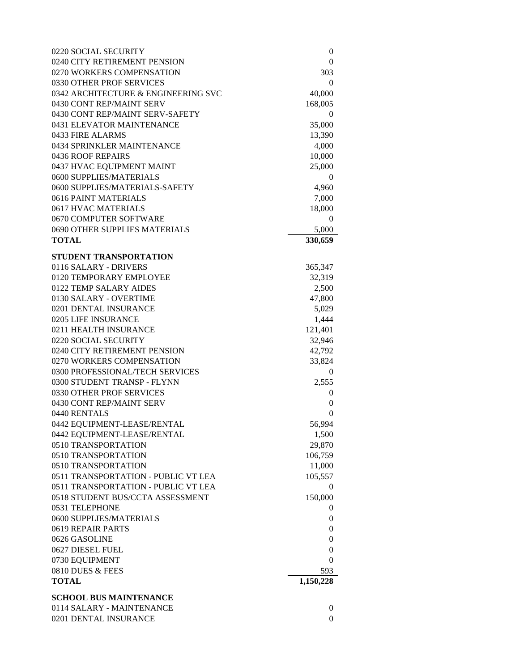| 0220 SOCIAL SECURITY                | $\boldsymbol{0}$ |
|-------------------------------------|------------------|
| 0240 CITY RETIREMENT PENSION        | $\theta$         |
| 0270 WORKERS COMPENSATION           | 303              |
| 0330 OTHER PROF SERVICES            | 0                |
| 0342 ARCHITECTURE & ENGINEERING SVC | 40,000           |
| 0430 CONT REP/MAINT SERV            | 168,005          |
| 0430 CONT REP/MAINT SERV-SAFETY     | 0                |
| 0431 ELEVATOR MAINTENANCE           | 35,000           |
| 0433 FIRE ALARMS                    | 13,390           |
| 0434 SPRINKLER MAINTENANCE          | 4,000            |
| 0436 ROOF REPAIRS                   | 10,000           |
| 0437 HVAC EQUIPMENT MAINT           | 25,000           |
| 0600 SUPPLIES/MATERIALS             | $\boldsymbol{0}$ |
| 0600 SUPPLIES/MATERIALS-SAFETY      | 4,960            |
| 0616 PAINT MATERIALS                | 7,000            |
| 0617 HVAC MATERIALS                 | 18,000           |
| 0670 COMPUTER SOFTWARE              | $\boldsymbol{0}$ |
| 0690 OTHER SUPPLIES MATERIALS       | 5,000            |
| <b>TOTAL</b>                        | 330,659          |
|                                     |                  |
| STUDENT TRANSPORTATION              |                  |
| 0116 SALARY - DRIVERS               | 365,347          |
| 0120 TEMPORARY EMPLOYEE             | 32,319           |
| 0122 TEMP SALARY AIDES              | 2,500            |
| 0130 SALARY - OVERTIME              | 47,800           |
| 0201 DENTAL INSURANCE               | 5,029            |
| 0205 LIFE INSURANCE                 | 1,444            |
| 0211 HEALTH INSURANCE               | 121,401          |
| 0220 SOCIAL SECURITY                | 32,946           |
| 0240 CITY RETIREMENT PENSION        | 42,792           |
| 0270 WORKERS COMPENSATION           | 33,824           |
| 0300 PROFESSIONAL/TECH SERVICES     | $\boldsymbol{0}$ |
| 0300 STUDENT TRANSP - FLYNN         | 2,555            |
| 0330 OTHER PROF SERVICES            | $\boldsymbol{0}$ |
| 0430 CONT REP/MAINT SERV            | 0                |
| 0440 RENTALS                        | 0                |
| 0442 EQUIPMENT-LEASE/RENTAL         | 56,994           |
| 0442 EQUIPMENT-LEASE/RENTAL         | 1,500            |
| 0510 TRANSPORTATION                 | 29,870           |
| 0510 TRANSPORTATION                 | 106,759          |
| 0510 TRANSPORTATION                 | 11,000           |
| 0511 TRANSPORTATION - PUBLIC VT LEA | 105,557          |
| 0511 TRANSPORTATION - PUBLIC VT LEA | $\boldsymbol{0}$ |
| 0518 STUDENT BUS/CCTA ASSESSMENT    | 150,000          |
| 0531 TELEPHONE                      | $\bf{0}$         |
| 0600 SUPPLIES/MATERIALS             | $\boldsymbol{0}$ |
| 0619 REPAIR PARTS                   | $\boldsymbol{0}$ |
| 0626 GASOLINE                       | $\boldsymbol{0}$ |
| 0627 DIESEL FUEL                    | $\boldsymbol{0}$ |
| 0730 EQUIPMENT                      | $\boldsymbol{0}$ |
| 0810 DUES & FEES                    | 593              |
| <b>TOTAL</b>                        | 1,150,228        |
| <b>SCHOOL BUS MAINTENANCE</b>       |                  |
| 0114 SALARY - MAINTENANCE           | $\boldsymbol{0}$ |
| 0201 DENTAL INSURANCE               | $\overline{0}$   |
|                                     |                  |